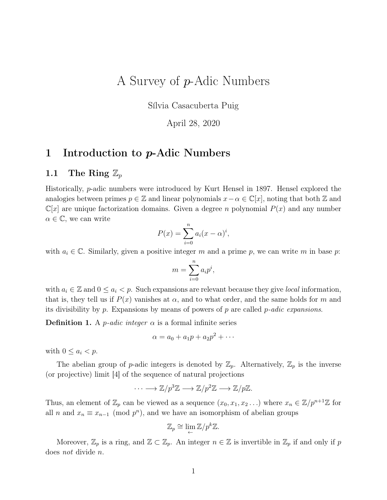# A Survey of p-Adic Numbers

Sílvia Casacuberta Puig

April 28, 2020

### 1 Introduction to p-Adic Numbers

#### 1.1 The Ring  $\mathbb{Z}_p$

Historically, p-adic numbers were introduced by Kurt Hensel in 1897. Hensel explored the analogies between primes  $p \in \mathbb{Z}$  and linear polynomials  $x - \alpha \in \mathbb{C}[x]$ , noting that both  $\mathbb Z$  and  $\mathbb{C}[x]$  are unique factorization domains. Given a degree n polynomial  $P(x)$  and any number  $\alpha \in \mathbb{C}$ , we can write

$$
P(x) = \sum_{i=0}^{n} a_i (x - \alpha)^i,
$$

with  $a_i \in \mathbb{C}$ . Similarly, given a positive integer m and a prime p, we can write m in base p:

$$
m = \sum_{i=0}^{n} a_i p^i,
$$

with  $a_i \in \mathbb{Z}$  and  $0 \leq a_i < p$ . Such expansions are relevant because they give *local* information, that is, they tell us if  $P(x)$  vanishes at  $\alpha$ , and to what order, and the same holds for m and its divisibility by p. Expansions by means of powers of p are called p-adic expansions.

**Definition 1.** A *p*-adic integer  $\alpha$  is a formal infinite series

$$
\alpha = a_0 + a_1 p + a_2 p^2 + \cdots
$$

with  $0 \leq a_i < p$ .

The abelian group of p-adic integers is denoted by  $\mathbb{Z}_p$ . Alternatively,  $\mathbb{Z}_p$  is the inverse (or projective) limit [4] of the sequence of natural projections

$$
\cdots \longrightarrow \mathbb{Z}/p^3\mathbb{Z} \longrightarrow \mathbb{Z}/p^2\mathbb{Z} \longrightarrow \mathbb{Z}/p\mathbb{Z}.
$$

Thus, an element of  $\mathbb{Z}_p$  can be viewed as a sequence  $(x_0, x_1, x_2 \ldots)$  where  $x_n \in \mathbb{Z}/p^{n+1}\mathbb{Z}$  for all *n* and  $x_n \equiv x_{n-1} \pmod{p^n}$ , and we have an isomorphism of abelian groups

$$
\mathbb{Z}_p \cong \lim_{\leftarrow} \mathbb{Z}/p^k \mathbb{Z}.
$$

Moreover,  $\mathbb{Z}_p$  is a ring, and  $\mathbb{Z} \subset \mathbb{Z}_p$ . An integer  $n \in \mathbb{Z}$  is invertible in  $\mathbb{Z}_p$  if and only if p does not divide n.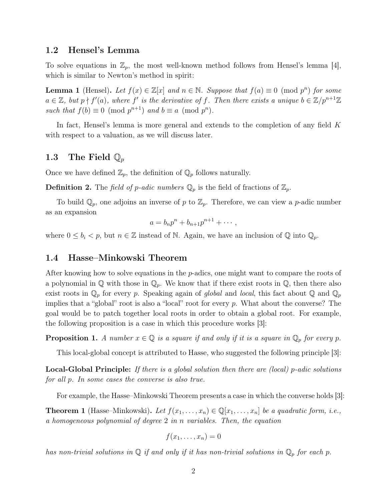#### 1.2 Hensel's Lemma

To solve equations in  $\mathbb{Z}_p$ , the most well-known method follows from Hensel's lemma [4], which is similar to Newton's method in spirit:

**Lemma 1** (Hensel). Let  $f(x) \in \mathbb{Z}[x]$  and  $n \in \mathbb{N}$ . Suppose that  $f(a) \equiv 0 \pmod{p^n}$  for some  $a \in \mathbb{Z}$ , but  $p \nmid f'(a)$ , where f' is the derivative of f. Then there exists a unique  $b \in \mathbb{Z}/p^{n+1}\mathbb{Z}$ such that  $f(b) \equiv 0 \pmod{p^{n+1}}$  and  $b \equiv a \pmod{p^n}$ .

In fact, Hensel's lemma is more general and extends to the completion of any field K with respect to a valuation, as we will discuss later.

#### 1.3 The Field  $\mathbb{Q}_p$

Once we have defined  $\mathbb{Z}_p$ , the definition of  $\mathbb{Q}_p$  follows naturally.

**Definition 2.** The field of p-adic numbers  $\mathbb{Q}_p$  is the field of fractions of  $\mathbb{Z}_p$ .

To build  $\mathbb{Q}_p$ , one adjoins an inverse of p to  $\mathbb{Z}_p$ . Therefore, we can view a p-adic number as an expansion

$$
a=b_np^n+b_{n+1}p^{n+1}+\cdots,
$$

where  $0 \leq b_i < p$ , but  $n \in \mathbb{Z}$  instead of N. Again, we have an inclusion of  $\mathbb{Q}$  into  $\mathbb{Q}_p$ .

#### 1.4 Hasse–Minkowski Theorem

After knowing how to solve equations in the p-adics, one might want to compare the roots of a polynomial in  $\mathbb Q$  with those in  $\mathbb Q_p$ . We know that if there exist roots in  $\mathbb Q$ , then there also exist roots in  $\mathbb{Q}_p$  for every p. Speaking again of global and local, this fact about  $\mathbb{Q}$  and  $\mathbb{Q}_p$ implies that a "global" root is also a "local" root for every  $p$ . What about the converse? The goal would be to patch together local roots in order to obtain a global root. For example, the following proposition is a case in which this procedure works [3]:

**Proposition 1.** A number  $x \in \mathbb{Q}$  is a square if and only if it is a square in  $\mathbb{Q}_p$  for every p.

This local-global concept is attributed to Hasse, who suggested the following principle [3]:

**Local-Global Principle:** If there is a global solution then there are (local) p-adic solutions for all p. In some cases the converse is also true.

For example, the Hasse–Minkowski Theorem presents a case in which the converse holds [3]:

**Theorem 1** (Hasse–Minkowski). Let  $f(x_1, \ldots, x_n) \in \mathbb{Q}[x_1, \ldots, x_n]$  be a quadratic form, i.e., a homogeneous polynomial of degree 2 in n variables. Then, the equation

$$
f(x_1,\ldots,x_n)=0
$$

has non-trivial solutions in  $\mathbb Q$  if and only if it has non-trivial solutions in  $\mathbb Q_p$  for each p.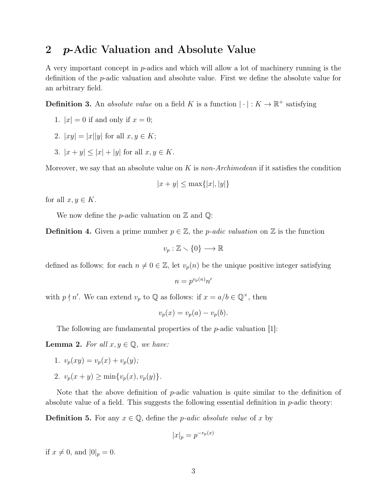### 2 p-Adic Valuation and Absolute Value

A very important concept in p-adics and which will allow a lot of machinery running is the definition of the p-adic valuation and absolute value. First we define the absolute value for an arbitrary field.

**Definition 3.** An *absolute value* on a field K is a function  $|\cdot|: K \to \mathbb{R}^+$  satisfying

- 1.  $|x| = 0$  if and only if  $x = 0$ ;
- 2.  $|xy| = |x||y|$  for all  $x, y \in K$ ;
- 3.  $|x + y| < |x| + |y|$  for all  $x, y \in K$ .

Moreover, we say that an absolute value on K is non-Archimedean if it satisfies the condition

$$
|x+y| \le \max\{|x|, |y|\}
$$

for all  $x, y \in K$ .

We now define the *p*-adic valuation on  $\mathbb{Z}$  and  $\mathbb{Q}$ :

**Definition 4.** Given a prime number  $p \in \mathbb{Z}$ , the *p-adic valuation* on  $\mathbb{Z}$  is the function

$$
v_p : \mathbb{Z} \setminus \{0\} \longrightarrow \mathbb{R}
$$

defined as follows: for each  $n \neq 0 \in \mathbb{Z}$ , let  $v_p(n)$  be the unique positive integer satisfying

$$
n = p^{v_p(n)} n'
$$

with  $p \nmid n'$ . We can extend  $v_p$  to  $\mathbb Q$  as follows: if  $x = a/b \in \mathbb Q^{\times}$ , then

$$
v_p(x) = v_p(a) - v_p(b).
$$

The following are fundamental properties of the  $p$ -adic valuation [1]:

**Lemma 2.** For all  $x, y \in \mathbb{Q}$ , we have:

- 1.  $v_p(xy) = v_p(x) + v_p(y);$
- 2.  $v_p(x + y) \ge \min\{v_p(x), v_p(y)\}.$

Note that the above definition of  $p$ -adic valuation is quite similar to the definition of absolute value of a field. This suggests the following essential definition in  $p$ -adic theory:

**Definition 5.** For any  $x \in \mathbb{Q}$ , define the *p*-adic absolute value of x by

$$
|x|_p = p^{-v_p(x)}
$$

if  $x \neq 0$ , and  $|0|_p = 0$ .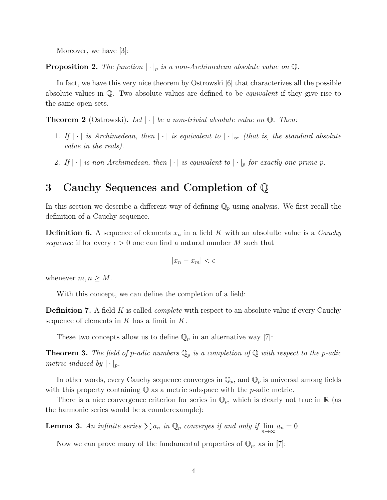Moreover, we have [3]:

**Proposition 2.** The function  $|\cdot|_p$  is a non-Archimedean absolute value on  $\mathbb{Q}$ .

In fact, we have this very nice theorem by Ostrowski [6] that characterizes all the possible absolute values in  $\mathbb Q$ . Two absolute values are defined to be *equivalent* if they give rise to the same open sets.

**Theorem 2** (Ostrowski). Let  $|\cdot|$  be a non-trivial absolute value on Q. Then:

- 1. If  $|\cdot|$  is Archimedean, then  $|\cdot|$  is equivalent to  $|\cdot|_{\infty}$  (that is, the standard absolute value in the reals).
- 2. If  $|\cdot|$  is non-Archimedean, then  $|\cdot|$  is equivalent to  $|\cdot|_p$  for exactly one prime p.

### 3 Cauchy Sequences and Completion of Q

In this section we describe a different way of defining  $\mathbb{Q}_p$  using analysis. We first recall the definition of a Cauchy sequence.

**Definition 6.** A sequence of elements  $x_n$  in a field K with an absolulte value is a *Cauchy* sequence if for every  $\epsilon > 0$  one can find a natural number M such that

$$
|x_n - x_m| < \epsilon
$$

whenever  $m, n \geq M$ .

With this concept, we can define the completion of a field:

**Definition 7.** A field K is called *complete* with respect to an absolute value if every Cauchy sequence of elements in  $K$  has a limit in  $K$ .

These two concepts allow us to define  $\mathbb{Q}_p$  in an alternative way [7]:

**Theorem 3.** The field of p-adic numbers  $\mathbb{Q}_p$  is a completion of  $\mathbb{Q}$  with respect to the p-adic metric induced by  $|\cdot|_p$ .

In other words, every Cauchy sequence converges in  $\mathbb{Q}_p$ , and  $\mathbb{Q}_p$  is universal among fields with this property containing  $\mathbb Q$  as a metric subspace with the p-adic metric.

There is a nice convergence criterion for series in  $\mathbb{Q}_p$ , which is clearly not true in  $\mathbb{R}$  (as the harmonic series would be a counterexample):

**Lemma 3.** An infinite series  $\sum a_n$  in  $\mathbb{Q}_p$  converges if and only if  $\lim_{n\to\infty} a_n = 0$ .

Now we can prove many of the fundamental properties of  $\mathbb{Q}_p$ , as in [7]: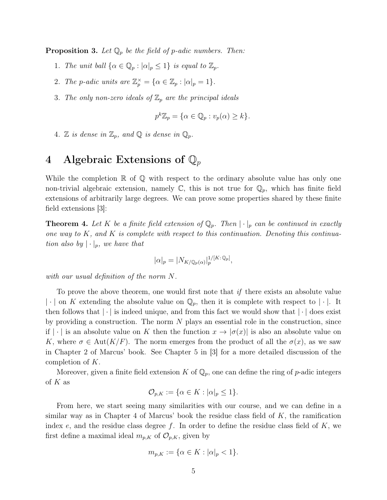**Proposition 3.** Let  $\mathbb{Q}_p$  be the field of p-adic numbers. Then:

- 1. The unit ball  $\{\alpha \in \mathbb{Q}_p : |\alpha|_p \leq 1\}$  is equal to  $\mathbb{Z}_p$ .
- 2. The p-adic units are  $\mathbb{Z}_p^{\times} = {\alpha \in \mathbb{Z}_p : |\alpha|_p = 1}.$
- 3. The only non-zero ideals of  $\mathbb{Z}_p$  are the principal ideals

$$
p^k \mathbb{Z}_p = \{ \alpha \in \mathbb{Q}_p : v_p(\alpha) \ge k \}.
$$

4. Z is dense in  $\mathbb{Z}_p$ , and  $\mathbb{Q}$  is dense in  $\mathbb{Q}_p$ .

## 4 Algebraic Extensions of  $\mathbb{Q}_p$

While the completion  $\mathbb R$  of  $\mathbb Q$  with respect to the ordinary absolute value has only one non-trivial algebraic extension, namely  $\mathbb{C}$ , this is not true for  $\mathbb{Q}_p$ , which has finite field extensions of arbitrarily large degrees. We can prove some properties shared by these finite field extensions [3]:

**Theorem 4.** Let K be a finite field extension of  $\mathbb{Q}_p$ . Then  $|\cdot|_p$  can be continued in exactly one way to  $K$ , and  $K$  is complete with respect to this continuation. Denoting this continuation also by  $|\cdot|_p$ , we have that

$$
|\alpha|_p = |N_{K/\mathbb{Q}_p(\alpha)}|_p^{1/[K:\mathbb{Q}_p]},
$$

with our usual definition of the norm N.

To prove the above theorem, one would first note that if there exists an absolute value  $|\cdot|$  on K extending the absolute value on  $\mathbb{Q}_p$ , then it is complete with respect to  $|\cdot|$ . It then follows that  $|\cdot|$  is indeed unique, and from this fact we would show that  $|\cdot|$  does exist by providing a construction. The norm  $N$  plays an essential role in the construction, since if  $|\cdot|$  is an absolute value on K then the function  $x \to |\sigma(x)|$  is also an absolute value on K, where  $\sigma \in \text{Aut}(K/F)$ . The norm emerges from the product of all the  $\sigma(x)$ , as we saw in Chapter 2 of Marcus' book. See Chapter 5 in [3] for a more detailed discussion of the completion of K.

Moreover, given a finite field extension K of  $\mathbb{Q}_p$ , one can define the ring of p-adic integers of  $K$  as

$$
\mathcal{O}_{p,K} := \{ \alpha \in K : |\alpha|_p \le 1 \}.
$$

From here, we start seeing many similarities with our course, and we can define in a similar way as in Chapter 4 of Marcus' book the residue class field of  $K$ , the ramification index e, and the residue class degree f. In order to define the residue class field of  $K$ , we first define a maximal ideal  $m_{p,K}$  of  $\mathcal{O}_{p,K}$ , given by

$$
m_{p,K} := \{ \alpha \in K : |\alpha|_p < 1 \}.
$$